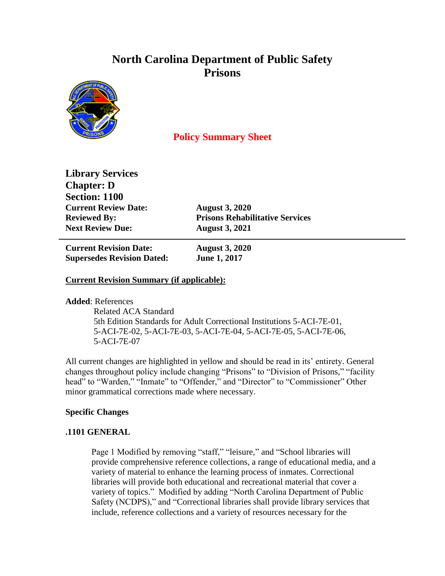# **North Carolina Department of Public Safety Prisons**



## **Policy Summary Sheet**

**Library Services Chapter: D Section: 1100 Current Review Date: August 3, 2020 Next Review Due: August 3, 2021**

**Reviewed By: Prisons Rehabilitative Services**

**Current Revision Date: August 3, 2020 Supersedes Revision Dated: June 1, 2017**

### **Current Revision Summary (if applicable):**

**Added**: References

 Related ACA Standard 5th Edition Standards for Adult Correctional Institutions 5-ACI-7E-01, 5-ACI-7E-02, 5-ACI-7E-03, 5-ACI-7E-04, 5-ACI-7E-05, 5-ACI-7E-06, 5-ACI-7E-07

All current changes are highlighted in yellow and should be read in its' entirety. General changes throughout policy include changing "Prisons" to "Division of Prisons," "facility head" to "Warden," "Inmate" to "Offender," and "Director" to "Commissioner" Other minor grammatical corrections made where necessary.

#### **Specific Changes**

#### **.1101 GENERAL**

Page 1 Modified by removing "staff," "leisure," and "School libraries will provide comprehensive reference collections, a range of educational media, and a variety of material to enhance the learning process of inmates. Correctional libraries will provide both educational and recreational material that cover a variety of topics." Modified by adding "North Carolina Department of Public Safety (NCDPS)," and "Correctional libraries shall provide library services that include, reference collections and a variety of resources necessary for the